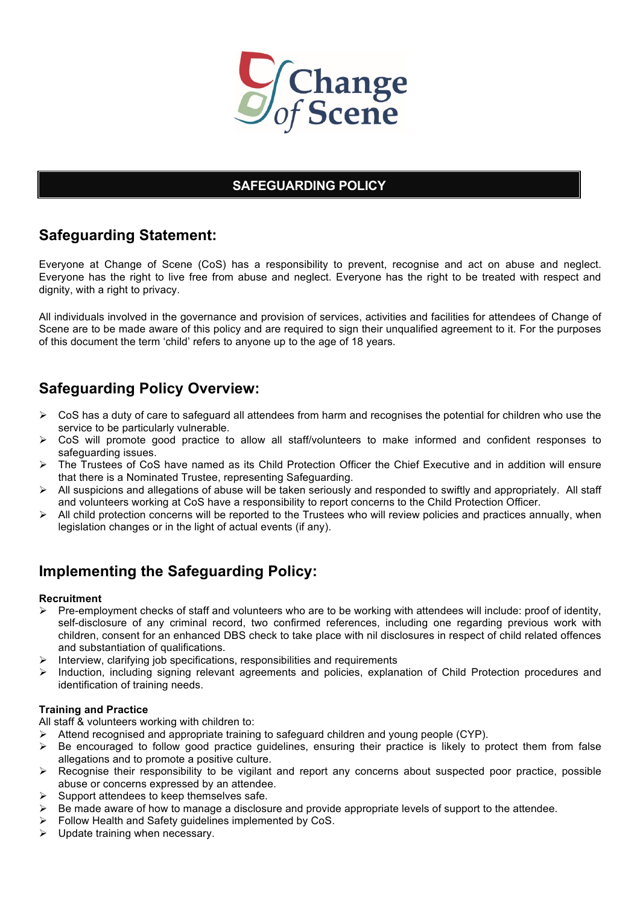

## **SAFEGUARDING POLICY**

# **Safeguarding Statement:**

Everyone at Change of Scene (CoS) has a responsibility to prevent, recognise and act on abuse and neglect. Everyone has the right to live free from abuse and neglect. Everyone has the right to be treated with respect and dignity, with a right to privacy.

All individuals involved in the governance and provision of services, activities and facilities for attendees of Change of Scene are to be made aware of this policy and are required to sign their unqualified agreement to it. For the purposes of this document the term 'child' refers to anyone up to the age of 18 years.

# **Safeguarding Policy Overview:**

- $\triangleright$  CoS has a duty of care to safeguard all attendees from harm and recognises the potential for children who use the service to be particularly vulnerable.
- ! CoS will promote good practice to allow all staff/volunteers to make informed and confident responses to safeguarding issues.
- ! The Trustees of CoS have named as its Child Protection Officer the Chief Executive and in addition will ensure that there is a Nominated Trustee, representing Safeguarding.
- ! All suspicions and allegations of abuse will be taken seriously and responded to swiftly and appropriately. All staff and volunteers working at CoS have a responsibility to report concerns to the Child Protection Officer.
- All child protection concerns will be reported to the Trustees who will review policies and practices annually, when legislation changes or in the light of actual events (if any).

# **Implementing the Safeguarding Policy:**

#### **Recruitment**

- ! Pre-employment checks of staff and volunteers who are to be working with attendees will include: proof of identity, self-disclosure of any criminal record, two confirmed references, including one regarding previous work with children, consent for an enhanced DBS check to take place with nil disclosures in respect of child related offences and substantiation of qualifications.
- Interview, clarifying job specifications, responsibilities and requirements
- ! Induction, including signing relevant agreements and policies, explanation of Child Protection procedures and identification of training needs.

#### **Training and Practice**

All staff & volunteers working with children to:

- ! Attend recognised and appropriate training to safeguard children and young people (CYP).
- $\triangleright$  Be encouraged to follow good practice guidelines, ensuring their practice is likely to protect them from false allegations and to promote a positive culture.
- $\triangleright$  Recognise their responsibility to be vigilant and report any concerns about suspected poor practice, possible abuse or concerns expressed by an attendee.
- $\triangleright$  Support attendees to keep themselves safe.
- ! Be made aware of how to manage a disclosure and provide appropriate levels of support to the attendee.
- $\triangleright$  Follow Health and Safety guidelines implemented by CoS.
- $\triangleright$  Update training when necessary.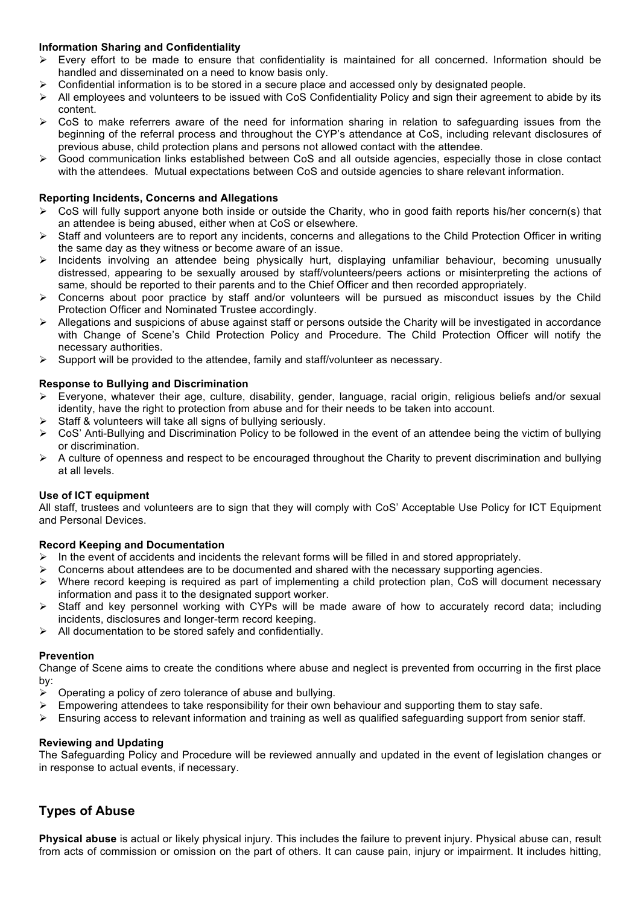#### **Information Sharing and Confidentiality**

- ! Every effort to be made to ensure that confidentiality is maintained for all concerned. Information should be handled and disseminated on a need to know basis only.
- ! Confidential information is to be stored in a secure place and accessed only by designated people.
- $\triangleright$  All employees and volunteers to be issued with CoS Confidentiality Policy and sign their agreement to abide by its content.
- $\triangleright$  CoS to make referrers aware of the need for information sharing in relation to safeguarding issues from the beginning of the referral process and throughout the CYP's attendance at CoS, including relevant disclosures of previous abuse, child protection plans and persons not allowed contact with the attendee.
- ! Good communication links established between CoS and all outside agencies, especially those in close contact with the attendees. Mutual expectations between CoS and outside agencies to share relevant information.

#### **Reporting Incidents, Concerns and Allegations**

- ! CoS will fully support anyone both inside or outside the Charity, who in good faith reports his/her concern(s) that an attendee is being abused, either when at CoS or elsewhere.
- Staff and volunteers are to report any incidents, concerns and allegations to the Child Protection Officer in writing the same day as they witness or become aware of an issue.
- ! Incidents involving an attendee being physically hurt, displaying unfamiliar behaviour, becoming unusually distressed, appearing to be sexually aroused by staff/volunteers/peers actions or misinterpreting the actions of same, should be reported to their parents and to the Chief Officer and then recorded appropriately.
- ! Concerns about poor practice by staff and/or volunteers will be pursued as misconduct issues by the Child Protection Officer and Nominated Trustee accordingly.
- Allegations and suspicions of abuse against staff or persons outside the Charity will be investigated in accordance with Change of Scene's Child Protection Policy and Procedure. The Child Protection Officer will notify the necessary authorities.
- $\triangleright$  Support will be provided to the attendee, family and staff/volunteer as necessary.

#### **Response to Bullying and Discrimination**

- ! Everyone, whatever their age, culture, disability, gender, language, racial origin, religious beliefs and/or sexual identity, have the right to protection from abuse and for their needs to be taken into account.
- Staff & volunteers will take all signs of bullying seriously.
- $\triangleright$  CoS' Anti-Bullying and Discrimination Policy to be followed in the event of an attendee being the victim of bullying or discrimination.
- $\triangleright$  A culture of openness and respect to be encouraged throughout the Charity to prevent discrimination and bullying at all levels.

#### **Use of ICT equipment**

All staff, trustees and volunteers are to sign that they will comply with CoS' Acceptable Use Policy for ICT Equipment and Personal Devices.

#### **Record Keeping and Documentation**

- $\triangleright$  In the event of accidents and incidents the relevant forms will be filled in and stored appropriately.
- $\triangleright$  Concerns about attendees are to be documented and shared with the necessary supporting agencies.
- $\triangleright$  Where record keeping is required as part of implementing a child protection plan, CoS will document necessary information and pass it to the designated support worker.
- $\triangleright$  Staff and key personnel working with CYPs will be made aware of how to accurately record data; including incidents, disclosures and longer-term record keeping.
- $\triangleright$  All documentation to be stored safely and confidentially.

#### **Prevention**

Change of Scene aims to create the conditions where abuse and neglect is prevented from occurring in the first place by:

- $\triangleright$  Operating a policy of zero tolerance of abuse and bullying.
- $\triangleright$  Empowering attendees to take responsibility for their own behaviour and supporting them to stay safe.
- $\triangleright$  Ensuring access to relevant information and training as well as qualified safeguarding support from senior staff.

#### **Reviewing and Updating**

The Safeguarding Policy and Procedure will be reviewed annually and updated in the event of legislation changes or in response to actual events, if necessary.

## **Types of Abuse**

**Physical abuse** is actual or likely physical injury. This includes the failure to prevent injury. Physical abuse can, result from acts of commission or omission on the part of others. It can cause pain, injury or impairment. It includes hitting,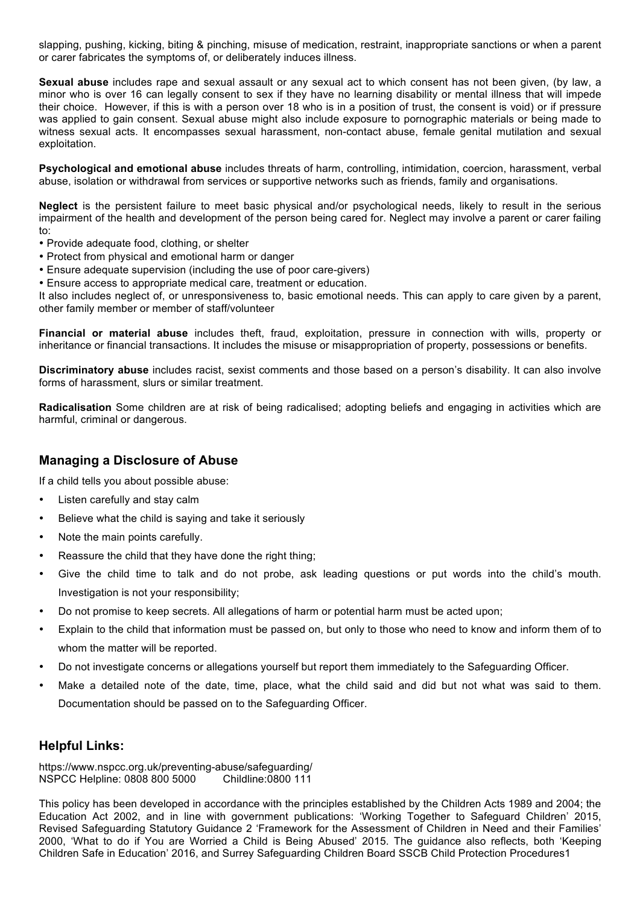slapping, pushing, kicking, biting & pinching, misuse of medication, restraint, inappropriate sanctions or when a parent or carer fabricates the symptoms of, or deliberately induces illness.

**Sexual abuse** includes rape and sexual assault or any sexual act to which consent has not been given, (by law, a minor who is over 16 can legally consent to sex if they have no learning disability or mental illness that will impede their choice. However, if this is with a person over 18 who is in a position of trust, the consent is void) or if pressure was applied to gain consent. Sexual abuse might also include exposure to pornographic materials or being made to witness sexual acts. It encompasses sexual harassment, non-contact abuse, female genital mutilation and sexual exploitation.

**Psychological and emotional abuse** includes threats of harm, controlling, intimidation, coercion, harassment, verbal abuse, isolation or withdrawal from services or supportive networks such as friends, family and organisations.

**Neglect** is the persistent failure to meet basic physical and/or psychological needs, likely to result in the serious impairment of the health and development of the person being cared for. Neglect may involve a parent or carer failing to:

- Provide adequate food, clothing, or shelter
- Protect from physical and emotional harm or danger
- Ensure adequate supervision (including the use of poor care-givers)
- Ensure access to appropriate medical care, treatment or education.

It also includes neglect of, or unresponsiveness to, basic emotional needs. This can apply to care given by a parent, other family member or member of staff/volunteer

**Financial or material abuse** includes theft, fraud, exploitation, pressure in connection with wills, property or inheritance or financial transactions. It includes the misuse or misappropriation of property, possessions or benefits.

**Discriminatory abuse** includes racist, sexist comments and those based on a person's disability. It can also involve forms of harassment, slurs or similar treatment.

**Radicalisation** Some children are at risk of being radicalised; adopting beliefs and engaging in activities which are harmful, criminal or dangerous.

### **Managing a Disclosure of Abuse**

If a child tells you about possible abuse:

- Listen carefully and stay calm
- Believe what the child is saying and take it seriously
- Note the main points carefully.
- Reassure the child that they have done the right thing;
- Give the child time to talk and do not probe, ask leading questions or put words into the child's mouth. Investigation is not your responsibility;
- Do not promise to keep secrets. All allegations of harm or potential harm must be acted upon;
- Explain to the child that information must be passed on, but only to those who need to know and inform them of to whom the matter will be reported.
- Do not investigate concerns or allegations yourself but report them immediately to the Safeguarding Officer.
- Make a detailed note of the date, time, place, what the child said and did but not what was said to them. Documentation should be passed on to the Safeguarding Officer.

### **Helpful Links:**

https://www.nspcc.org.uk/preventing-abuse/safeguarding/ NSPCC Helpline: 0808 800 5000 Childline:0800 111

This policy has been developed in accordance with the principles established by the Children Acts 1989 and 2004; the Education Act 2002, and in line with government publications: 'Working Together to Safeguard Children' 2015, Revised Safeguarding Statutory Guidance 2 'Framework for the Assessment of Children in Need and their Families' 2000, 'What to do if You are Worried a Child is Being Abused' 2015. The guidance also reflects, both 'Keeping Children Safe in Education' 2016, and Surrey Safeguarding Children Board SSCB Child Protection Procedures1